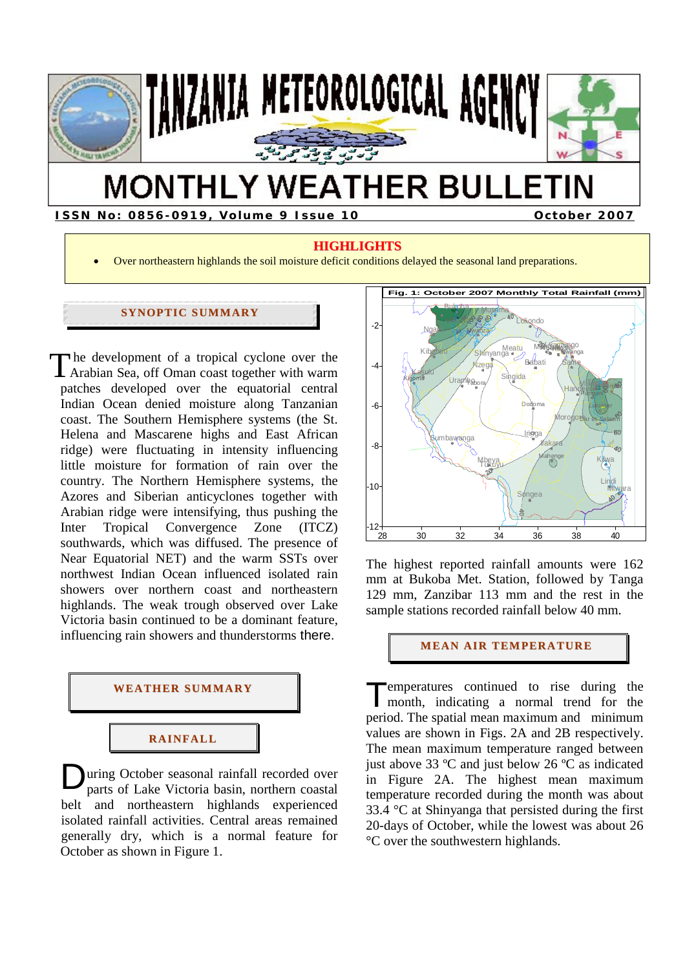

# **MONTHLY WEATHER BULLETIN**

**ISSN No: 0856-0919, Volume 9 Issue 10 October 2007** 

# **HIGHLIGHTS**

• Over northeastern highlands the soil moisture deficit conditions delayed the seasonal land preparations.

# **SYNOPTIC SUMMARY**

 he development of a tropical cyclone over the The development of a tropical cyclone over the Arabian Sea, off Oman coast together with warm patches developed over the equatorial central Indian Ocean denied moisture along Tanzanian coast. The Southern Hemisphere systems (the St. Helena and Mascarene highs and East African ridge) were fluctuating in intensity influencing little moisture for formation of rain over the country. The Northern Hemisphere systems, the Azores and Siberian anticyclones together with Arabian ridge were intensifying, thus pushing the Inter Tropical Convergence Zone (ITCZ) southwards, which was diffused. The presence of Near Equatorial NET) and the warm SSTs over northwest Indian Ocean influenced isolated rain showers over northern coast and northeastern highlands. The weak trough observed over Lake Victoria basin continued to be a dominant feature, influencing rain showers and thunderstorms there.



# **RAI NFALL**

**D**uring October seasonal rainfall recorded over parts of Lake Victoria basin, northern coastal parts of Lake Victoria basin, northern coastal belt and northeastern highlands experienced isolated rainfall activities. Central areas remained generally dry, which is a normal feature for October as shown in Figure 1.



The highest reported rainfall amounts were 162 mm at Bukoba Met. Station, followed by Tanga 129 mm, Zanzibar 113 mm and the rest in the sample stations recorded rainfall below 40 mm.

**MEAN AIR TEMPERATURE** 

emperatures continued to rise during the Temperatures continued to rise during the month, indicating a normal trend for the period. The spatial mean maximum and minimum values are shown in Figs. 2A and 2B respectively. The mean maximum temperature ranged between just above 33 ºC and just below 26 ºC as indicated in Figure 2A. The highest mean maximum temperature recorded during the month was about 33.4 °C at Shinyanga that persisted during the first 20-days of October, while the lowest was about 26 °C over the southwestern highlands.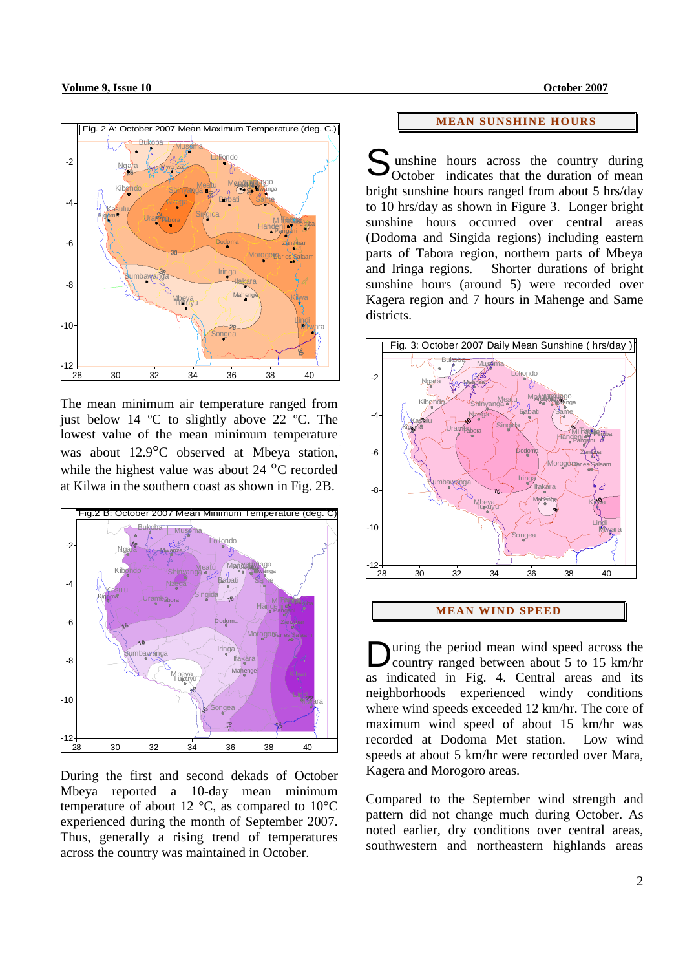

The mean minimum air temperature ranged from just below 14 ºC to slightly above 22 ºC. The lowest value of the mean minimum temperature was about 12.9°C observed at Mbeya station, while the highest value was about 24 °C recorded at Kilwa in the southern coast as shown in Fig. 2B.



During the first and second dekads of October Mbeya reported a 10-day mean minimum temperature of about 12  $\degree$ C, as compared to 10 $\degree$ C experienced during the month of September 2007. Thus, generally a rising trend of temperatures across the country was maintained in October.

### **MEAN SUNSHINE HOURS**

unshine hours across the country during October indicates that the duration of mean bright sunshine hours ranged from about 5 hrs/day to 10 hrs/day as shown in Figure 3. Longer bright sunshine hours occurred over central areas (Dodoma and Singida regions) including eastern parts of Tabora region, northern parts of Mbeya and Iringa regions. Shorter durations of bright sunshine hours (around 5) were recorded over Kagera region and 7 hours in Mahenge and Same districts. S



### **MEAN WIND SPEED**

uring the period mean wind speed across the **D**uring the period mean wind speed across the<br>country ranged between about 5 to 15 km/hr as indicated in Fig. 4. Central areas and its neighborhoods experienced windy conditions where wind speeds exceeded 12 km/hr. The core of maximum wind speed of about 15 km/hr was recorded at Dodoma Met station. Low wind speeds at about 5 km/hr were recorded over Mara, Kagera and Morogoro areas.

Compared to the September wind strength and pattern did not change much during October. As noted earlier, dry conditions over central areas, southwestern and northeastern highlands areas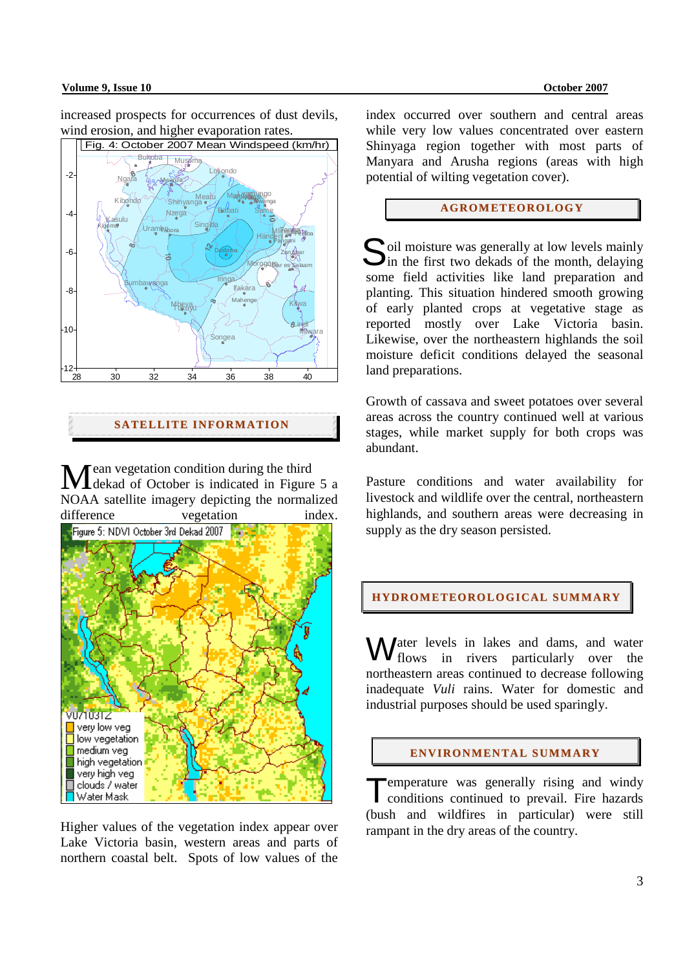### **Volume 9, Issue 10 October 2007**

increased prospects for occurrences of dust devils, wind erosion, and higher evaporation rates.



**SATELLITE I NFORMATI ON**

ean vegetation condition during the third Mean vegetation condition during the third<br>
Mekad of October is indicated in Figure 5 a NOAA satellite imagery depicting the normalized difference vegetation index.



Higher values of the vegetation index appear over Lake Victoria basin, western areas and parts of northern coastal belt. Spots of low values of the

index occurred over southern and central areas while very low values concentrated over eastern Shinyaga region together with most parts of Manyara and Arusha regions (areas with high potential of wilting vegetation cover).

# **AGROMETEOROLOGY**

oil moisture was generally at low levels mainly Soil moisture was generally at low levels mainly in the first two dekads of the month, delaying some field activities like land preparation and planting. This situation hindered smooth growing of early planted crops at vegetative stage as reported mostly over Lake Victoria basin. Likewise, over the northeastern highlands the soil moisture deficit conditions delayed the seasonal land preparations.

Growth of cassava and sweet potatoes over several areas across the country continued well at various stages, while market supply for both crops was abundant.

Pasture conditions and water availability for livestock and wildlife over the central, northeastern highlands, and southern areas were decreasing in supply as the dry season persisted.

### **HYDROMETEOROLOGICAL SUMMARY**

Water levels in lakes and dams, and water<br>flows in rivers particularly over the flows in rivers particularly over the northeastern areas continued to decrease following inadequate *Vuli* rains. Water for domestic and industrial purposes should be used sparingly.

#### **ENVI RONMENTAL SUMMARY**

Temperature was generally rising and windy conditions continued to prevail. Fire hazards conditions continued to prevail. Fire hazards (bush and wildfires in particular) were still rampant in the dry areas of the country.